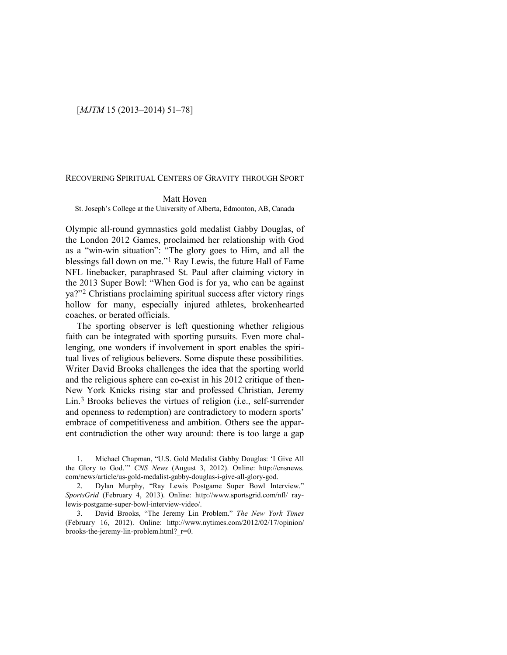## [*MJTM* 15 (2013–2014) 51–78]

## RECOVERING SPIRITUAL CENTERS OF GRAVITY THROUGH SPORT

## Matt Hoven

St. Joseph's College at the University of Alberta, Edmonton, AB, Canada

Olympic all-round gymnastics gold medalist Gabby Douglas, of the London 2012 Games, proclaimed her relationship with God as a "win-win situation": "The glory goes to Him, and all the blessings fall down on me."[1](#page-0-0) Ray Lewis, the future Hall of Fame NFL linebacker, paraphrased St. Paul after claiming victory in the 2013 Super Bowl: "When God is for ya, who can be against ya?"[2](#page-0-1) Christians proclaiming spiritual success after victory rings hollow for many, especially injured athletes, brokenhearted coaches, or berated officials.

The sporting observer is left questioning whether religious faith can be integrated with sporting pursuits. Even more challenging, one wonders if involvement in sport enables the spiritual lives of religious believers. Some dispute these possibilities. Writer David Brooks challenges the idea that the sporting world and the religious sphere can co-exist in his 2012 critique of then-New York Knicks rising star and professed Christian, Jeremy Lin.[3](#page-0-2) Brooks believes the virtues of religion (i.e., self-surrender and openness to redemption) are contradictory to modern sports' embrace of competitiveness and ambition. Others see the apparent contradiction the other way around: there is too large a gap

<span id="page-0-0"></span>1. Michael Chapman, "U.S. Gold Medalist Gabby Douglas: 'I Give All the Glory to God.'" *CNS News* (August 3, 2012). Online: http://cnsnews. com/news/article/us-gold-medalist-gabby-douglas-i-give-all-glory-god.

<span id="page-0-1"></span>2. Dylan Murphy, "Ray Lewis Postgame Super Bowl Interview." *SportsGrid* (February 4, 2013). Online: http://www.sportsgrid.com/nfl/ raylewis-postgame-super-bowl-interview-video/.

<span id="page-0-2"></span>3. David Brooks, "The Jeremy Lin Problem." *The New York Times*  (February 16, 2012). Online: http://www.nytimes.com/2012/02/17/opinion/ brooks-the-jeremy-lin-problem.html?\_r=0.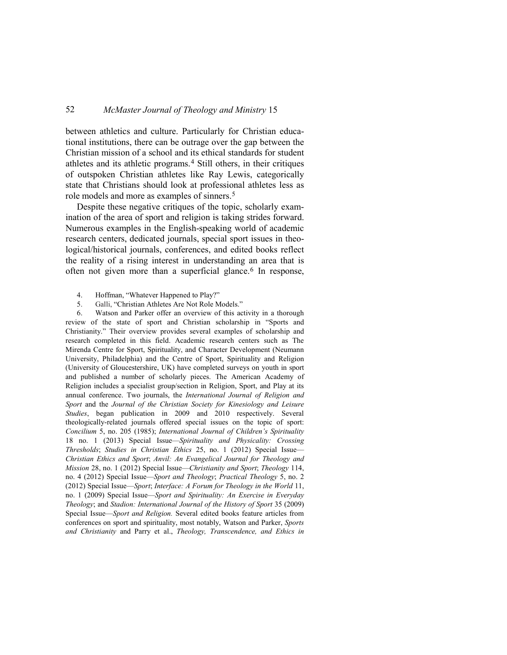between athletics and culture. Particularly for Christian educational institutions, there can be outrage over the gap between the Christian mission of a school and its ethical standards for student athletes and its athletic programs.[4](#page-1-0) Still others, in their critiques of outspoken Christian athletes like Ray Lewis, categorically state that Christians should look at professional athletes less as role models and more as examples of sinners.[5](#page-1-1)

Despite these negative critiques of the topic, scholarly examination of the area of sport and religion is taking strides forward. Numerous examples in the English-speaking world of academic research centers, dedicated journals, special sport issues in theological/historical journals, conferences, and edited books reflect the reality of a rising interest in understanding an area that is often not given more than a superficial glance.<sup>[6](#page-1-2)</sup> In response,

- 4. Hoffman, "Whatever Happened to Play?"
- 5. Galli, "Christian Athletes Are Not Role Models."

<span id="page-1-2"></span><span id="page-1-1"></span><span id="page-1-0"></span>6. Watson and Parker offer an overview of this activity in a thorough review of the state of sport and Christian scholarship in "Sports and Christianity." Their overview provides several examples of scholarship and research completed in this field. Academic research centers such as The Mirenda Centre for Sport, Spirituality, and Character Development (Neumann University, Philadelphia) and the Centre of Sport, Spirituality and Religion (University of Gloucestershire, UK) have completed surveys on youth in sport and published a number of scholarly pieces. The American Academy of Religion includes a specialist group/section in Religion, Sport, and Play at its annual conference. Two journals, the *International Journal of Religion and Sport* and the *Journal of the Christian Society for Kinesiology and Leisure Studies*, began publication in 2009 and 2010 respectively. Several theologically-related journals offered special issues on the topic of sport: *Concilium* 5, no. 205 (1985); *International Journal of Children's Spirituality* 18 no. 1 (2013) Special Issue—*Spirituality and Physicality: Crossing Thresholds*; *Studies in Christian Ethics* 25, no. 1 (2012) Special Issue— *Christian Ethics and Sport*; *Anvil: An Evangelical Journal for Theology and Mission* 28, no. 1 (2012) Special Issue—*Christianity and Sport*; *Theology* 114, no. 4 (2012) Special Issue—*Sport and Theology*; *Practical Theology* 5, no. 2 (2012) Special Issue—*Sport*; *Interface: A Forum for Theology in the World* 11, no. 1 (2009) Special Issue—*Sport and Spirituality: An Exercise in Everyday Theology*; and *Stadion: International Journal of the History of Sport* 35 (2009) Special Issue—*Sport and Religion.* Several edited books feature articles from conferences on sport and spirituality, most notably, Watson and Parker, *Sports and Christianity* and Parry et al., *Theology, Transcendence, and Ethics in*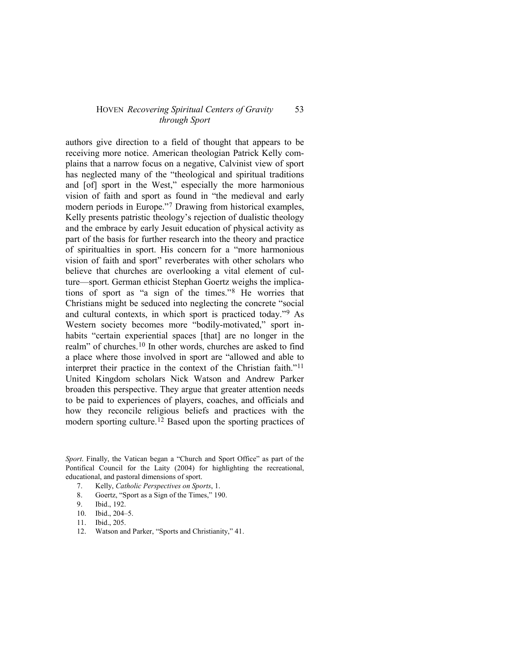authors give direction to a field of thought that appears to be receiving more notice. American theologian Patrick Kelly complains that a narrow focus on a negative, Calvinist view of sport has neglected many of the "theological and spiritual traditions and [of] sport in the West," especially the more harmonious vision of faith and sport as found in "the medieval and early modern periods in Europe."[7](#page-2-0) Drawing from historical examples, Kelly presents patristic theology's rejection of dualistic theology and the embrace by early Jesuit education of physical activity as part of the basis for further research into the theory and practice of spiritualties in sport. His concern for a "more harmonious vision of faith and sport" reverberates with other scholars who believe that churches are overlooking a vital element of culture—sport. German ethicist Stephan Goertz weighs the implications of sport as "a sign of the times."[8](#page-2-1) He worries that Christians might be seduced into neglecting the concrete "social and cultural contexts, in which sport is practiced today."[9](#page-2-2) As Western society becomes more "bodily-motivated," sport inhabits "certain experiential spaces [that] are no longer in the realm" of churches.[10](#page-2-3) In other words, churches are asked to find a place where those involved in sport are "allowed and able to interpret their practice in the context of the Christian faith."[11](#page-2-4) United Kingdom scholars Nick Watson and Andrew Parker broaden this perspective. They argue that greater attention needs to be paid to experiences of players, coaches, and officials and how they reconcile religious beliefs and practices with the modern sporting culture.[12](#page-2-5) Based upon the sporting practices of

<span id="page-2-1"></span><span id="page-2-0"></span>*Sport*. Finally, the Vatican began a "Church and Sport Office" as part of the Pontifical Council for the Laity (2004) for highlighting the recreational, educational, and pastoral dimensions of sport.

- 7. Kelly, *Catholic Perspectives on Sports*, 1.
- <span id="page-2-2"></span>8. Goertz, "Sport as a Sign of the Times," 190.
- <span id="page-2-3"></span>9. Ibid., 192.
- 10. Ibid., 204–5.
- <span id="page-2-4"></span>11. Ibid., 205.
- <span id="page-2-5"></span>12. Watson and Parker, "Sports and Christianity," 41.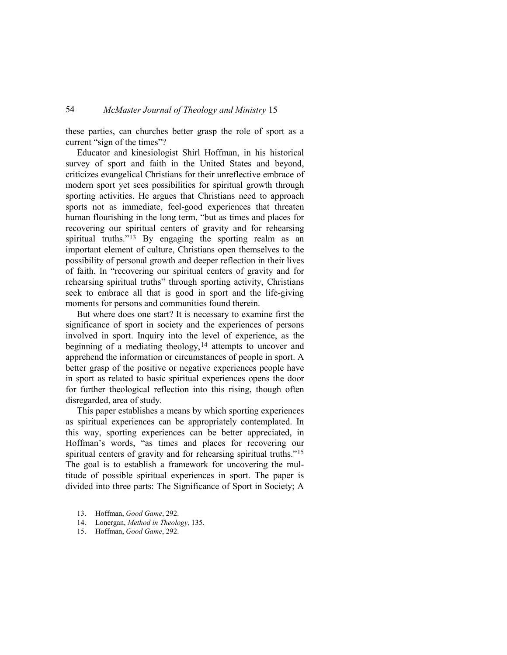these parties, can churches better grasp the role of sport as a current "sign of the times"?

Educator and kinesiologist Shirl Hoffman, in his historical survey of sport and faith in the United States and beyond, criticizes evangelical Christians for their unreflective embrace of modern sport yet sees possibilities for spiritual growth through sporting activities. He argues that Christians need to approach sports not as immediate, feel-good experiences that threaten human flourishing in the long term, "but as times and places for recovering our spiritual centers of gravity and for rehearsing spiritual truths."<sup>13</sup> By engaging the sporting realm as an important element of culture, Christians open themselves to the possibility of personal growth and deeper reflection in their lives of faith. In "recovering our spiritual centers of gravity and for rehearsing spiritual truths" through sporting activity, Christians seek to embrace all that is good in sport and the life-giving moments for persons and communities found therein.

But where does one start? It is necessary to examine first the significance of sport in society and the experiences of persons involved in sport. Inquiry into the level of experience, as the beginning of a mediating theology,  $14$  attempts to uncover and apprehend the information or circumstances of people in sport. A better grasp of the positive or negative experiences people have in sport as related to basic spiritual experiences opens the door for further theological reflection into this rising, though often disregarded, area of study.

This paper establishes a means by which sporting experiences as spiritual experiences can be appropriately contemplated. In this way, sporting experiences can be better appreciated, in Hoffman's words, "as times and places for recovering our spiritual centers of gravity and for rehearsing spiritual truths."<sup>[15](#page-3-2)</sup> The goal is to establish a framework for uncovering the multitude of possible spiritual experiences in sport. The paper is divided into three parts: The Significance of Sport in Society; A

- <span id="page-3-0"></span>13. Hoffman, *Good Game*, 292.
- <span id="page-3-1"></span>14. Lonergan, *Method in Theology*, 135.
- <span id="page-3-2"></span>15. Hoffman, *Good Game*, 292.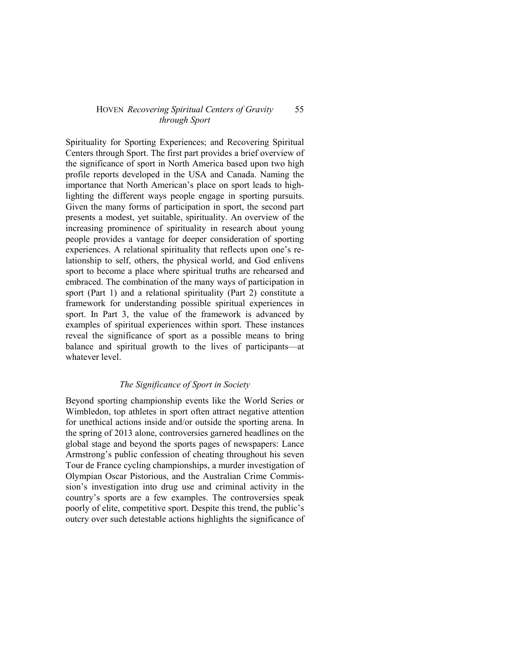Spirituality for Sporting Experiences; and Recovering Spiritual Centers through Sport. The first part provides a brief overview of the significance of sport in North America based upon two high profile reports developed in the USA and Canada. Naming the importance that North American's place on sport leads to highlighting the different ways people engage in sporting pursuits. Given the many forms of participation in sport, the second part presents a modest, yet suitable, spirituality. An overview of the increasing prominence of spirituality in research about young people provides a vantage for deeper consideration of sporting experiences. A relational spirituality that reflects upon one's relationship to self, others, the physical world, and God enlivens sport to become a place where spiritual truths are rehearsed and embraced. The combination of the many ways of participation in sport (Part 1) and a relational spirituality (Part 2) constitute a framework for understanding possible spiritual experiences in sport. In Part 3, the value of the framework is advanced by examples of spiritual experiences within sport. These instances reveal the significance of sport as a possible means to bring balance and spiritual growth to the lives of participants—at whatever level.

# *The Significance of Sport in Society*

Beyond sporting championship events like the World Series or Wimbledon, top athletes in sport often attract negative attention for unethical actions inside and/or outside the sporting arena. In the spring of 2013 alone, controversies garnered headlines on the global stage and beyond the sports pages of newspapers: Lance Armstrong's public confession of cheating throughout his seven Tour de France cycling championships, a murder investigation of Olympian Oscar Pistorious, and the Australian Crime Commission's investigation into drug use and criminal activity in the country's sports are a few examples. The controversies speak poorly of elite, competitive sport. Despite this trend, the public's outcry over such detestable actions highlights the significance of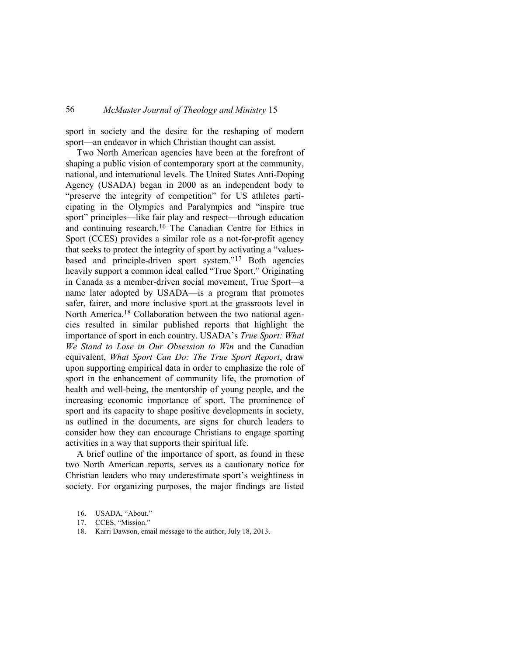sport in society and the desire for the reshaping of modern sport—an endeavor in which Christian thought can assist.

Two North American agencies have been at the forefront of shaping a public vision of contemporary sport at the community, national, and international levels. The United States Anti-Doping Agency (USADA) began in 2000 as an independent body to "preserve the integrity of competition" for US athletes participating in the Olympics and Paralympics and "inspire true sport" principles—like fair play and respect—through education and continuing research.[16](#page-5-0) The Canadian Centre for Ethics in Sport (CCES) provides a similar role as a not-for-profit agency that seeks to protect the integrity of sport by activating a "valuesbased and principle-driven sport system."[17](#page-5-1) Both agencies heavily support a common ideal called "True Sport." Originating in Canada as a member-driven social movement, True Sport—a name later adopted by USADA—is a program that promotes safer, fairer, and more inclusive sport at the grassroots level in North America.[18](#page-5-2) Collaboration between the two national agencies resulted in similar published reports that highlight the importance of sport in each country. USADA's *True Sport: What We Stand to Lose in Our Obsession to Win* and the Canadian equivalent, *What Sport Can Do: The True Sport Report*, draw upon supporting empirical data in order to emphasize the role of sport in the enhancement of community life, the promotion of health and well-being, the mentorship of young people, and the increasing economic importance of sport. The prominence of sport and its capacity to shape positive developments in society, as outlined in the documents, are signs for church leaders to consider how they can encourage Christians to engage sporting activities in a way that supports their spiritual life.

A brief outline of the importance of sport, as found in these two North American reports, serves as a cautionary notice for Christian leaders who may underestimate sport's weightiness in society. For organizing purposes, the major findings are listed

<span id="page-5-2"></span>18. Karri Dawson, email message to the author, July 18, 2013.

<span id="page-5-0"></span><sup>16.</sup> USADA, "About."

<span id="page-5-1"></span><sup>17.</sup> CCES, "Mission."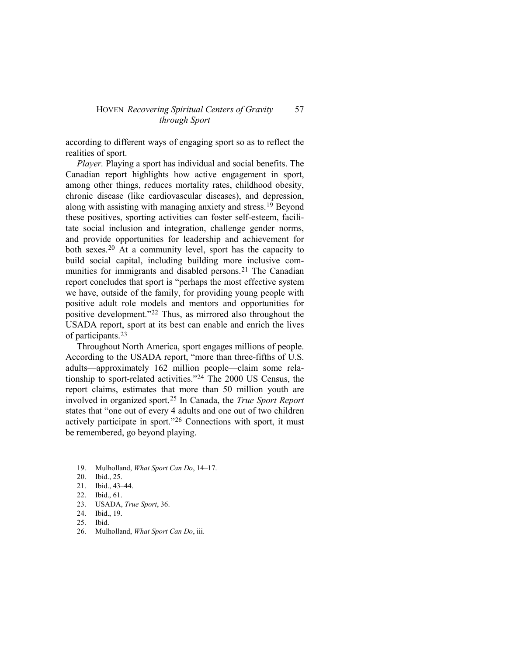according to different ways of engaging sport so as to reflect the realities of sport.

*Player.* Playing a sport has individual and social benefits. The Canadian report highlights how active engagement in sport, among other things, reduces mortality rates, childhood obesity, chronic disease (like cardiovascular diseases), and depression, along with assisting with managing anxiety and stress.[19](#page-6-0) Beyond these positives, sporting activities can foster self-esteem, facilitate social inclusion and integration, challenge gender norms, and provide opportunities for leadership and achievement for both sexes.[20](#page-6-1) At a community level, sport has the capacity to build social capital, including building more inclusive com-munities for immigrants and disabled persons.<sup>[21](#page-6-2)</sup> The Canadian report concludes that sport is "perhaps the most effective system we have, outside of the family, for providing young people with positive adult role models and mentors and opportunities for positive development."[22](#page-6-3) Thus, as mirrored also throughout the USADA report, sport at its best can enable and enrich the lives of participants.[23](#page-6-4)

Throughout North America, sport engages millions of people. According to the USADA report, "more than three-fifths of U.S. adults—approximately 162 million people—claim some relationship to sport-related activities.["24](#page-6-5) The 2000 US Census, the report claims, estimates that more than 50 million youth are involved in organized sport.[25](#page-6-6) In Canada, the *True Sport Report* states that "one out of every 4 adults and one out of two children actively participate in sport."[26](#page-6-7) Connections with sport, it must be remembered, go beyond playing.

- <span id="page-6-1"></span><span id="page-6-0"></span>19. Mulholland, *What Sport Can Do*, 14–17.
- Ibid., 25.
- <span id="page-6-2"></span>21. Ibid., 43–44.
- <span id="page-6-3"></span>22. Ibid., 61.
- <span id="page-6-4"></span>23. USADA, *True Sport*, 36.
- <span id="page-6-5"></span>24. Ibid., 19.
- <span id="page-6-6"></span>25. Ibid.
- <span id="page-6-7"></span>26. Mulholland, *What Sport Can Do*, iii.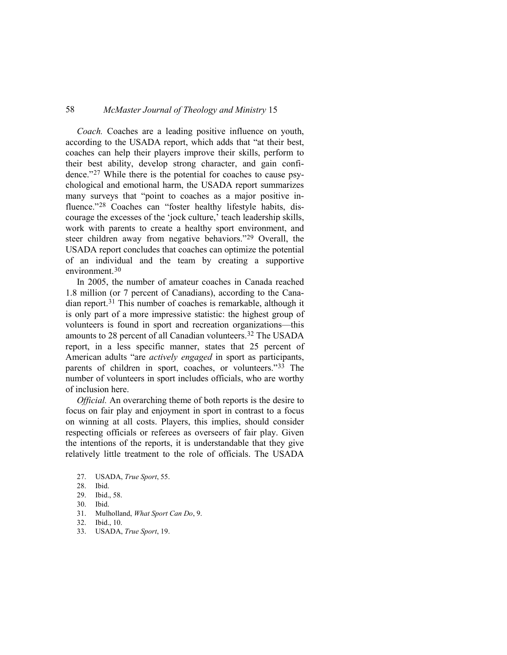*Coach.* Coaches are a leading positive influence on youth, according to the USADA report, which adds that "at their best, coaches can help their players improve their skills, perform to their best ability, develop strong character, and gain confidence."[27](#page-7-0) While there is the potential for coaches to cause psychological and emotional harm, the USADA report summarizes many surveys that "point to coaches as a major positive in-fluence."<sup>[28](#page-7-1)</sup> Coaches can "foster healthy lifestyle habits, discourage the excesses of the 'jock culture,' teach leadership skills, work with parents to create a healthy sport environment, and steer children away from negative behaviors."[29](#page-7-2) Overall, the USADA report concludes that coaches can optimize the potential of an individual and the team by creating a supportive environment.<sup>[30](#page-7-3)</sup>

In 2005, the number of amateur coaches in Canada reached 1.8 million (or 7 percent of Canadians), according to the Canadian report.[31](#page-7-4) This number of coaches is remarkable, although it is only part of a more impressive statistic: the highest group of volunteers is found in sport and recreation organizations—this amounts to 28 percent of all Canadian volunteers.<sup>[32](#page-7-5)</sup> The USADA report, in a less specific manner, states that 25 percent of American adults "are *actively engaged* in sport as participants, parents of children in sport, coaches, or volunteers."[33](#page-7-6) The number of volunteers in sport includes officials, who are worthy of inclusion here.

*Official.* An overarching theme of both reports is the desire to focus on fair play and enjoyment in sport in contrast to a focus on winning at all costs. Players, this implies, should consider respecting officials or referees as overseers of fair play. Given the intentions of the reports, it is understandable that they give relatively little treatment to the role of officials. The USADA

- Ibid., 58.
- <span id="page-7-3"></span>30. Ibid.
- <span id="page-7-4"></span>31. Mulholland, *What Sport Can Do*, 9.
- <span id="page-7-5"></span>32. Ibid., 10.
- <span id="page-7-6"></span>33. USADA, *True Sport*, 19.

<span id="page-7-0"></span><sup>27.</sup> USADA, *True Sport*, 55.

<span id="page-7-2"></span><span id="page-7-1"></span><sup>28.</sup> Ibid.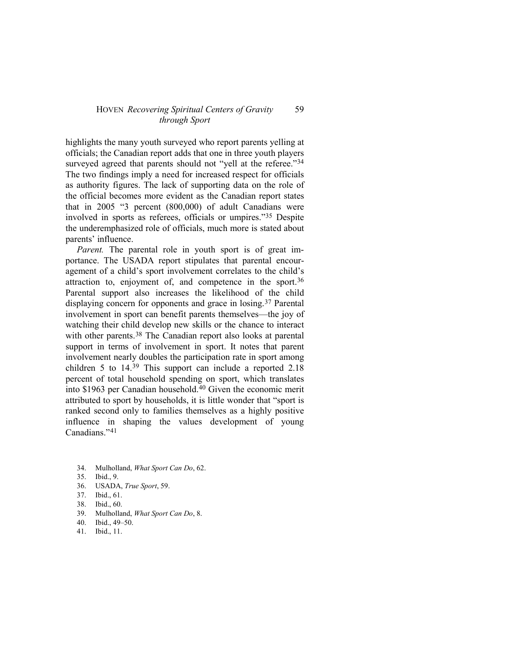highlights the many youth surveyed who report parents yelling at officials; the Canadian report adds that one in three youth players surveyed agreed that parents should not "yell at the referee."<sup>[34](#page-8-0)</sup> The two findings imply a need for increased respect for officials as authority figures. The lack of supporting data on the role of the official becomes more evident as the Canadian report states that in 2005 "3 percent (800,000) of adult Canadians were involved in sports as referees, officials or umpires."[35](#page-8-1) Despite the underemphasized role of officials, much more is stated about parents' influence.

*Parent.* The parental role in youth sport is of great importance. The USADA report stipulates that parental encouragement of a child's sport involvement correlates to the child's attraction to, enjoyment of, and competence in the sport.[36](#page-8-2) Parental support also increases the likelihood of the child displaying concern for opponents and grace in losing.[37](#page-8-3) Parental involvement in sport can benefit parents themselves—the joy of watching their child develop new skills or the chance to interact with other parents.<sup>[38](#page-8-4)</sup> The Canadian report also looks at parental support in terms of involvement in sport. It notes that parent involvement nearly doubles the participation rate in sport among children 5 to 14.[39](#page-8-5) This support can include a reported 2.18 percent of total household spending on sport, which translates into \$1963 per Canadian household[.40](#page-8-6) Given the economic merit attributed to sport by households, it is little wonder that "sport is ranked second only to families themselves as a highly positive influence in shaping the values development of young Canadians."[41](#page-8-7)

- <span id="page-8-1"></span><span id="page-8-0"></span>34. Mulholland, *What Sport Can Do*, 62.
- Ibid., 9.
- <span id="page-8-2"></span>36. USADA, *True Sport*, 59.
- <span id="page-8-3"></span>37. Ibid., 61.
- <span id="page-8-4"></span>38. Ibid., 60.
- <span id="page-8-5"></span>39. Mulholland, *What Sport Can Do*, 8.
- <span id="page-8-6"></span>40. Ibid., 49–50.
- <span id="page-8-7"></span>41. Ibid., 11.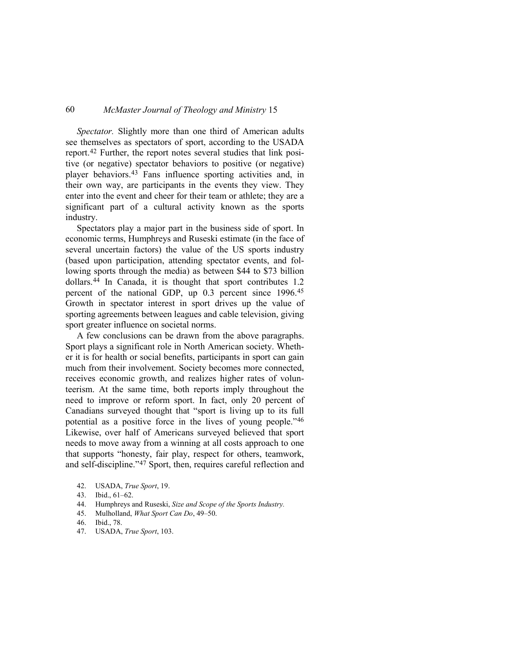*Spectator.* Slightly more than one third of American adults see themselves as spectators of sport, according to the USADA report.[42](#page-9-0) Further, the report notes several studies that link positive (or negative) spectator behaviors to positive (or negative) player behaviors.[43](#page-9-1) Fans influence sporting activities and, in their own way, are participants in the events they view. They enter into the event and cheer for their team or athlete; they are a significant part of a cultural activity known as the sports industry.

Spectators play a major part in the business side of sport. In economic terms, Humphreys and Ruseski estimate (in the face of several uncertain factors) the value of the US sports industry (based upon participation, attending spectator events, and following sports through the media) as between \$44 to \$73 billion dollars.[44](#page-9-2) In Canada, it is thought that sport contributes 1.2 percent of the national GDP, up 0.3 percent since 1996.[45](#page-9-3) Growth in spectator interest in sport drives up the value of sporting agreements between leagues and cable television, giving sport greater influence on societal norms.

A few conclusions can be drawn from the above paragraphs. Sport plays a significant role in North American society. Whether it is for health or social benefits, participants in sport can gain much from their involvement. Society becomes more connected, receives economic growth, and realizes higher rates of volunteerism. At the same time, both reports imply throughout the need to improve or reform sport. In fact, only 20 percent of Canadians surveyed thought that "sport is living up to its full potential as a positive force in the lives of young people."[46](#page-9-4) Likewise, over half of Americans surveyed believed that sport needs to move away from a winning at all costs approach to one that supports "honesty, fair play, respect for others, teamwork, and self-discipline."[47](#page-9-5) Sport, then, requires careful reflection and

- <span id="page-9-2"></span>44. Humphreys and Ruseski, *Size and Scope of the Sports Industry.*
- <span id="page-9-3"></span>45. Mulholland, *What Sport Can Do*, 49–50.
- <span id="page-9-4"></span>46. Ibid., 78.
- <span id="page-9-5"></span>47. USADA, *True Sport*, 103.

<span id="page-9-1"></span><span id="page-9-0"></span><sup>42.</sup> USADA, *True Sport*, 19.

<sup>43.</sup> Ibid., 61–62.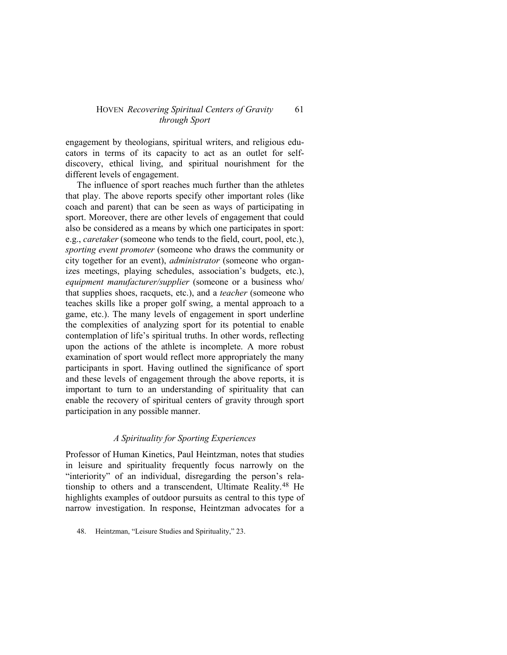engagement by theologians, spiritual writers, and religious educators in terms of its capacity to act as an outlet for selfdiscovery, ethical living, and spiritual nourishment for the different levels of engagement.

The influence of sport reaches much further than the athletes that play. The above reports specify other important roles (like coach and parent) that can be seen as ways of participating in sport. Moreover, there are other levels of engagement that could also be considered as a means by which one participates in sport: e.g., *caretaker* (someone who tends to the field, court, pool, etc.), *sporting event promoter* (someone who draws the community or city together for an event), *administrator* (someone who organizes meetings, playing schedules, association's budgets, etc.), *equipment manufacturer/supplier* (someone or a business who/ that supplies shoes, racquets, etc.), and a *teacher* (someone who teaches skills like a proper golf swing, a mental approach to a game, etc.). The many levels of engagement in sport underline the complexities of analyzing sport for its potential to enable contemplation of life's spiritual truths. In other words, reflecting upon the actions of the athlete is incomplete. A more robust examination of sport would reflect more appropriately the many participants in sport. Having outlined the significance of sport and these levels of engagement through the above reports, it is important to turn to an understanding of spirituality that can enable the recovery of spiritual centers of gravity through sport participation in any possible manner.

## *A Spirituality for Sporting Experiences*

Professor of Human Kinetics, Paul Heintzman, notes that studies in leisure and spirituality frequently focus narrowly on the "interiority" of an individual, disregarding the person's relationship to others and a transcendent, Ultimate Reality.[48](#page-10-0) He highlights examples of outdoor pursuits as central to this type of narrow investigation. In response, Heintzman advocates for a

<span id="page-10-0"></span><sup>48.</sup> Heintzman, "Leisure Studies and Spirituality," 23.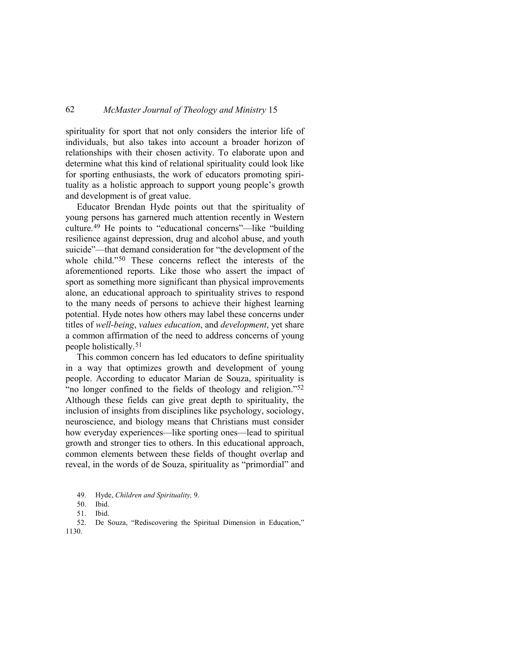spirituality for sport that not only considers the interior life of individuals, but also takes into account a broader horizon of relationships with their chosen activity. To elaborate upon and determine what this kind of relational spirituality could look like for sporting enthusiasts, the work of educators promoting spirituality as a holistic approach to support young people's growth and development is of great value.

Educator Brendan Hyde points out that the spirituality of young persons has garnered much attention recently in Western culture.[49](#page-11-0) He points to "educational concerns"—like "building resilience against depression, drug and alcohol abuse, and youth suicide"—that demand consideration for "the development of the whole child."[50](#page-11-1) These concerns reflect the interests of the aforementioned reports. Like those who assert the impact of sport as something more significant than physical improvements alone, an educational approach to spirituality strives to respond to the many needs of persons to achieve their highest learning potential. Hyde notes how others may label these concerns under titles of *well-being*, *values education*, and *development*, yet share a common affirmation of the need to address concerns of young people holistically.[51](#page-11-2)

This common concern has led educators to define spirituality in a way that optimizes growth and development of young people. According to educator Marian de Souza, spirituality is "no longer confined to the fields of theology and religion."[52](#page-11-3) Although these fields can give great depth to spirituality, the inclusion of insights from disciplines like psychology, sociology, neuroscience, and biology means that Christians must consider how everyday experiences—like sporting ones—lead to spiritual growth and stronger ties to others. In this educational approach, common elements between these fields of thought overlap and reveal, in the words of de Souza, spirituality as "primordial" and

<span id="page-11-3"></span><span id="page-11-2"></span><span id="page-11-1"></span><span id="page-11-0"></span>52. De Souza, "Rediscovering the Spiritual Dimension in Education," 1130.

<sup>49.</sup> Hyde, *Children and Spirituality,* 9.

<sup>50.</sup> Ibid.

<sup>51.</sup> Ibid.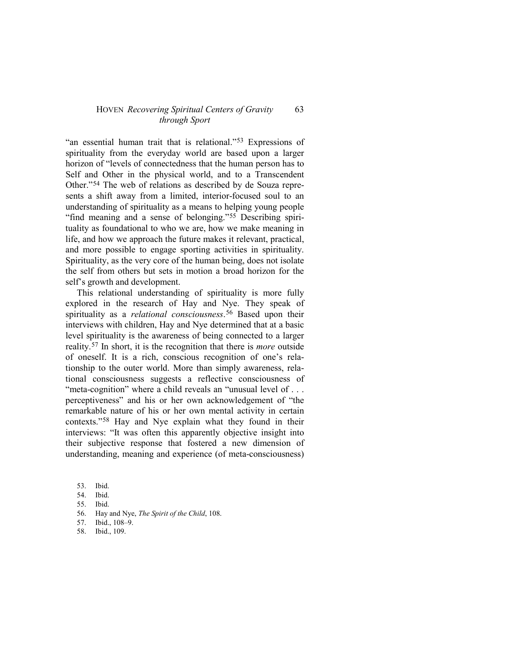"an essential human trait that is relational."[53](#page-12-0) Expressions of spirituality from the everyday world are based upon a larger horizon of "levels of connectedness that the human person has to Self and Other in the physical world, and to a Transcendent Other."[54](#page-12-1) The web of relations as described by de Souza represents a shift away from a limited, interior-focused soul to an understanding of spirituality as a means to helping young people "find meaning and a sense of belonging."[55](#page-12-2) Describing spirituality as foundational to who we are, how we make meaning in life, and how we approach the future makes it relevant, practical, and more possible to engage sporting activities in spirituality. Spirituality, as the very core of the human being, does not isolate the self from others but sets in motion a broad horizon for the self's growth and development.

This relational understanding of spirituality is more fully explored in the research of Hay and Nye. They speak of spirituality as a *relational consciousness*.<sup>[56](#page-12-3)</sup> Based upon their interviews with children, Hay and Nye determined that at a basic level spirituality is the awareness of being connected to a larger reality.[57](#page-12-4) In short, it is the recognition that there is *more* outside of oneself. It is a rich, conscious recognition of one's relationship to the outer world. More than simply awareness, relational consciousness suggests a reflective consciousness of "meta-cognition" where a child reveals an "unusual level of ... perceptiveness" and his or her own acknowledgement of "the remarkable nature of his or her own mental activity in certain contexts."[58](#page-12-5) Hay and Nye explain what they found in their interviews: "It was often this apparently objective insight into their subjective response that fostered a new dimension of understanding, meaning and experience (of meta-consciousness)

- <span id="page-12-1"></span>54. Ibid.
- <span id="page-12-2"></span>55. Ibid.
- <span id="page-12-3"></span>56. Hay and Nye, *The Spirit of the Child*, 108.
- <span id="page-12-4"></span>57. Ibid., 108–9.
- <span id="page-12-5"></span>58. Ibid., 109.

<span id="page-12-0"></span><sup>53.</sup> Ibid.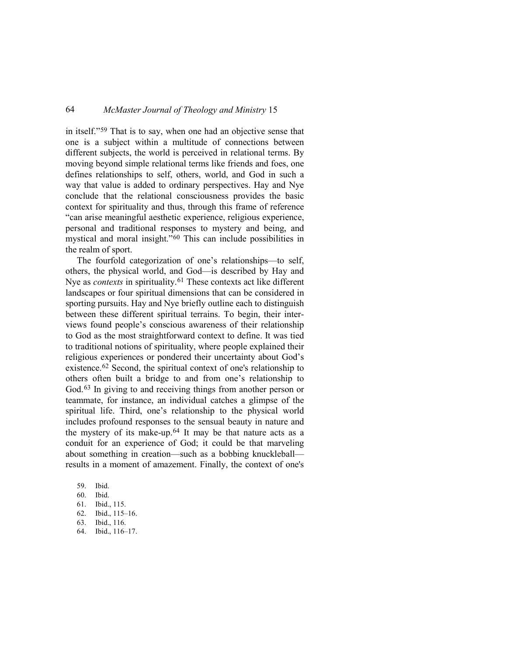in itself."[59](#page-13-0) That is to say, when one had an objective sense that one is a subject within a multitude of connections between different subjects, the world is perceived in relational terms. By moving beyond simple relational terms like friends and foes, one defines relationships to self, others, world, and God in such a way that value is added to ordinary perspectives. Hay and Nye conclude that the relational consciousness provides the basic context for spirituality and thus, through this frame of reference "can arise meaningful aesthetic experience, religious experience, personal and traditional responses to mystery and being, and mystical and moral insight."[60](#page-13-1) This can include possibilities in the realm of sport.

The fourfold categorization of one's relationships—to self, others, the physical world, and God—is described by Hay and Nye as *contexts* in spirituality.<sup>[61](#page-13-2)</sup> These contexts act like different landscapes or four spiritual dimensions that can be considered in sporting pursuits. Hay and Nye briefly outline each to distinguish between these different spiritual terrains. To begin, their interviews found people's conscious awareness of their relationship to God as the most straightforward context to define. It was tied to traditional notions of spirituality, where people explained their religious experiences or pondered their uncertainty about God's existence.[62](#page-13-3) Second, the spiritual context of one's relationship to others often built a bridge to and from one's relationship to God.<sup>[63](#page-13-4)</sup> In giving to and receiving things from another person or teammate, for instance, an individual catches a glimpse of the spiritual life. Third, one's relationship to the physical world includes profound responses to the sensual beauty in nature and the mystery of its make-up. $64$  It may be that nature acts as a conduit for an experience of God; it could be that marveling about something in creation—such as a bobbing knuckleball results in a moment of amazement. Finally, the context of one's

- <span id="page-13-0"></span>59. Ibid.
- <span id="page-13-1"></span>60. Ibid.
- <span id="page-13-2"></span>61. Ibid., 115.
- <span id="page-13-3"></span>62. Ibid., 115–16.
- <span id="page-13-4"></span>63. Ibid., 116.
- <span id="page-13-5"></span>64. Ibid., 116–17.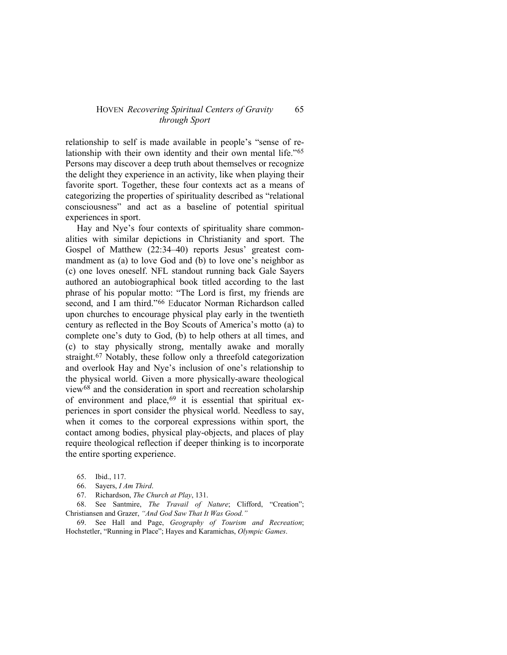relationship to self is made available in people's "sense of relationship with their own identity and their own mental life."[65](#page-14-0) Persons may discover a deep truth about themselves or recognize the delight they experience in an activity, like when playing their favorite sport. Together, these four contexts act as a means of categorizing the properties of spirituality described as "relational consciousness" and act as a baseline of potential spiritual experiences in sport.

Hay and Nye's four contexts of spirituality share commonalities with similar depictions in Christianity and sport. The Gospel of Matthew (22:34–40) reports Jesus' greatest commandment as (a) to love God and (b) to love one's neighbor as (c) one loves oneself. NFL standout running back Gale Sayers authored an autobiographical book titled according to the last phrase of his popular motto: "The Lord is first, my friends are second, and I am third."[66](#page-14-1) Educator Norman Richardson called upon churches to encourage physical play early in the twentieth century as reflected in the Boy Scouts of America's motto (a) to complete one's duty to God, (b) to help others at all times, and (c) to stay physically strong, mentally awake and morally straight[.67](#page-14-2) Notably, these follow only a threefold categorization and overlook Hay and Nye's inclusion of one's relationship to the physical world. Given a more physically-aware theological view[68](#page-14-3) and the consideration in sport and recreation scholarship of environment and place,<sup>[69](#page-14-4)</sup> it is essential that spiritual experiences in sport consider the physical world. Needless to say, when it comes to the corporeal expressions within sport, the contact among bodies, physical play-objects, and places of play require theological reflection if deeper thinking is to incorporate the entire sporting experience.

- 65. Ibid., 117.
- 66. Sayers, *I Am Third*.
- 67. Richardson, *The Church at Play*, 131.

<span id="page-14-3"></span><span id="page-14-2"></span><span id="page-14-1"></span><span id="page-14-0"></span>68. See Santmire, *The Travail of Nature*; Clifford, "Creation"; Christiansen and Grazer, *"And God Saw That It Was Good."*

<span id="page-14-4"></span>69. See Hall and Page, *Geography of Tourism and Recreation*; Hochstetler, "Running in Place"; Hayes and Karamichas, *Olympic Games*.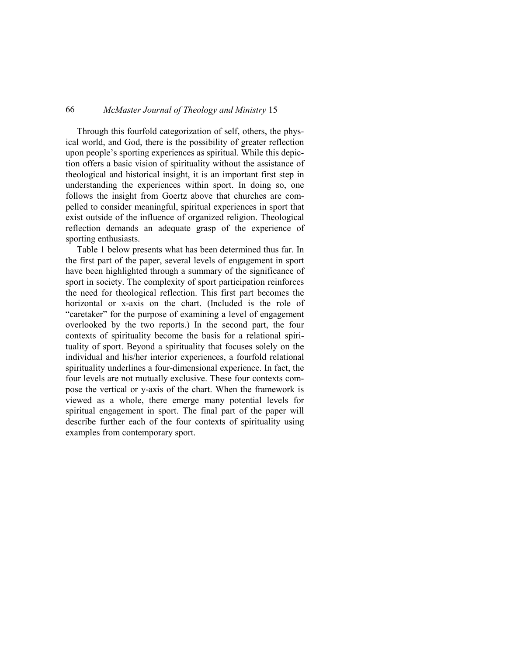Through this fourfold categorization of self, others, the physical world, and God, there is the possibility of greater reflection upon people's sporting experiences as spiritual. While this depiction offers a basic vision of spirituality without the assistance of theological and historical insight, it is an important first step in understanding the experiences within sport. In doing so, one follows the insight from Goertz above that churches are compelled to consider meaningful, spiritual experiences in sport that exist outside of the influence of organized religion. Theological reflection demands an adequate grasp of the experience of sporting enthusiasts.

Table 1 below presents what has been determined thus far. In the first part of the paper, several levels of engagement in sport have been highlighted through a summary of the significance of sport in society. The complexity of sport participation reinforces the need for theological reflection. This first part becomes the horizontal or x-axis on the chart. (Included is the role of "caretaker" for the purpose of examining a level of engagement overlooked by the two reports.) In the second part, the four contexts of spirituality become the basis for a relational spirituality of sport. Beyond a spirituality that focuses solely on the individual and his/her interior experiences, a fourfold relational spirituality underlines a four-dimensional experience. In fact, the four levels are not mutually exclusive. These four contexts compose the vertical or y-axis of the chart. When the framework is viewed as a whole, there emerge many potential levels for spiritual engagement in sport. The final part of the paper will describe further each of the four contexts of spirituality using examples from contemporary sport.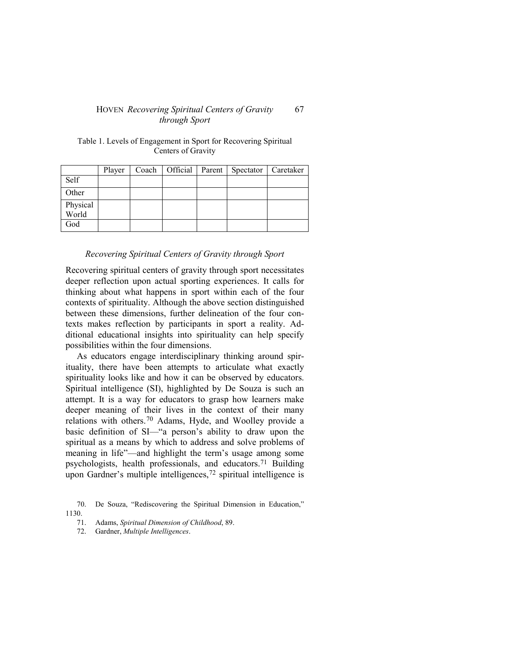| Table 1. Levels of Engagement in Sport for Recovering Spiritual |  |  |  |  |  |
|-----------------------------------------------------------------|--|--|--|--|--|
| Centers of Gravity                                              |  |  |  |  |  |
|                                                                 |  |  |  |  |  |

|                   | Player |  | Coach   Official   Parent   Spectator   Caretaker |  |
|-------------------|--------|--|---------------------------------------------------|--|
| Self              |        |  |                                                   |  |
| Other             |        |  |                                                   |  |
| Physical<br>World |        |  |                                                   |  |
| God               |        |  |                                                   |  |

## *Recovering Spiritual Centers of Gravity through Sport*

Recovering spiritual centers of gravity through sport necessitates deeper reflection upon actual sporting experiences. It calls for thinking about what happens in sport within each of the four contexts of spirituality. Although the above section distinguished between these dimensions, further delineation of the four contexts makes reflection by participants in sport a reality. Additional educational insights into spirituality can help specify possibilities within the four dimensions.

As educators engage interdisciplinary thinking around spirituality, there have been attempts to articulate what exactly spirituality looks like and how it can be observed by educators. Spiritual intelligence (SI), highlighted by De Souza is such an attempt. It is a way for educators to grasp how learners make deeper meaning of their lives in the context of their many relations with others.[70](#page-16-0) Adams, Hyde, and Woolley provide a basic definition of SI—"a person's ability to draw upon the spiritual as a means by which to address and solve problems of meaning in life"—and highlight the term's usage among some psychologists, health professionals, and educators.[71](#page-16-1) Building upon Gardner's multiple intelligences,<sup>[72](#page-16-2)</sup> spiritual intelligence is

<span id="page-16-2"></span><span id="page-16-1"></span><span id="page-16-0"></span><sup>70.</sup> De Souza, "Rediscovering the Spiritual Dimension in Education," 1130.

<sup>71.</sup> Adams, *Spiritual Dimension of Childhood*, 89.

<sup>72.</sup> Gardner, *Multiple Intelligences*.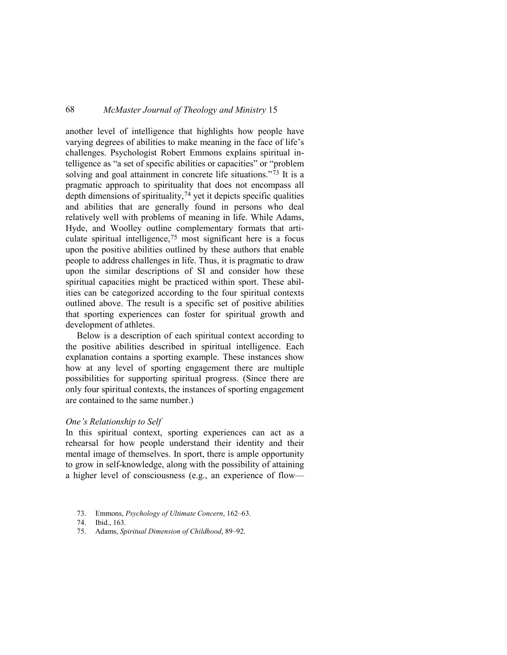another level of intelligence that highlights how people have varying degrees of abilities to make meaning in the face of life's challenges. Psychologist Robert Emmons explains spiritual intelligence as "a set of specific abilities or capacities" or "problem solving and goal attainment in concrete life situations."<sup>[73](#page-17-0)</sup> It is a pragmatic approach to spirituality that does not encompass all depth dimensions of spirituality[,74](#page-17-1) yet it depicts specific qualities and abilities that are generally found in persons who deal relatively well with problems of meaning in life. While Adams, Hyde, and Woolley outline complementary formats that articulate spiritual intelligence,[75](#page-17-2) most significant here is a focus upon the positive abilities outlined by these authors that enable people to address challenges in life. Thus, it is pragmatic to draw upon the similar descriptions of SI and consider how these spiritual capacities might be practiced within sport. These abilities can be categorized according to the four spiritual contexts outlined above. The result is a specific set of positive abilities that sporting experiences can foster for spiritual growth and development of athletes.

Below is a description of each spiritual context according to the positive abilities described in spiritual intelligence. Each explanation contains a sporting example. These instances show how at any level of sporting engagement there are multiple possibilities for supporting spiritual progress. (Since there are only four spiritual contexts, the instances of sporting engagement are contained to the same number.)

## *One's Relationship to Self*

In this spiritual context, sporting experiences can act as a rehearsal for how people understand their identity and their mental image of themselves. In sport, there is ample opportunity to grow in self-knowledge, along with the possibility of attaining a higher level of consciousness (e.g., an experience of flow—

- <span id="page-17-0"></span>73. Emmons, *Psychology of Ultimate Concern*, 162–63.
- <span id="page-17-1"></span>74. Ibid., 163.
- <span id="page-17-2"></span>75. Adams, *Spiritual Dimension of Childhood*, 89–92.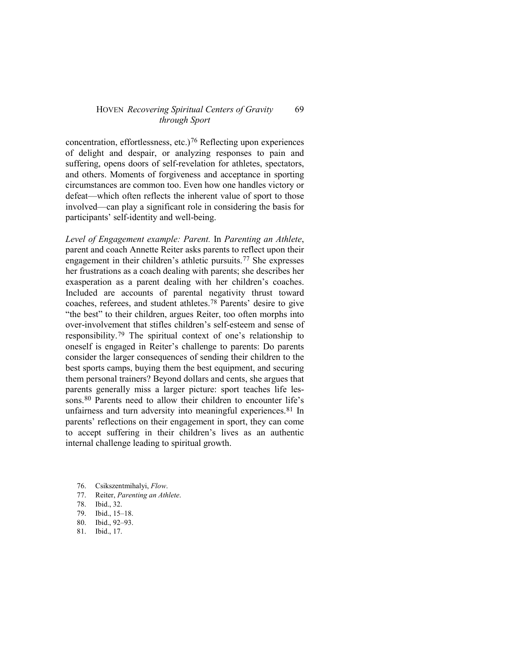concentration, effortlessness, etc.)<sup>[76](#page-18-0)</sup> Reflecting upon experiences of delight and despair, or analyzing responses to pain and suffering, opens doors of self-revelation for athletes, spectators, and others. Moments of forgiveness and acceptance in sporting circumstances are common too. Even how one handles victory or defeat—which often reflects the inherent value of sport to those involved—can play a significant role in considering the basis for participants' self-identity and well-being.

*Level of Engagement example: Parent.* In *Parenting an Athlete*, parent and coach Annette Reiter asks parents to reflect upon their engagement in their children's athletic pursuits.[77](#page-18-1) She expresses her frustrations as a coach dealing with parents; she describes her exasperation as a parent dealing with her children's coaches. Included are accounts of parental negativity thrust toward coaches, referees, and student athletes.[78](#page-18-2) Parents' desire to give "the best" to their children, argues Reiter, too often morphs into over-involvement that stifles children's self-esteem and sense of responsibility.[79](#page-18-3) The spiritual context of one's relationship to oneself is engaged in Reiter's challenge to parents: Do parents consider the larger consequences of sending their children to the best sports camps, buying them the best equipment, and securing them personal trainers? Beyond dollars and cents, she argues that parents generally miss a larger picture: sport teaches life les-sons.<sup>[80](#page-18-4)</sup> Parents need to allow their children to encounter life's unfairness and turn adversity into meaningful experiences.<sup>[81](#page-18-5)</sup> In parents' reflections on their engagement in sport, they can come to accept suffering in their children's lives as an authentic internal challenge leading to spiritual growth.

- <span id="page-18-0"></span>76. Csikszentmihalyi, *Flow*.
- <span id="page-18-1"></span>77. Reiter, *Parenting an Athlete*.
- <span id="page-18-2"></span>78. Ibid., 32.
- <span id="page-18-3"></span>79. Ibid., 15–18.
- <span id="page-18-4"></span>80. Ibid., 92–93.
- <span id="page-18-5"></span>81. Ibid., 17.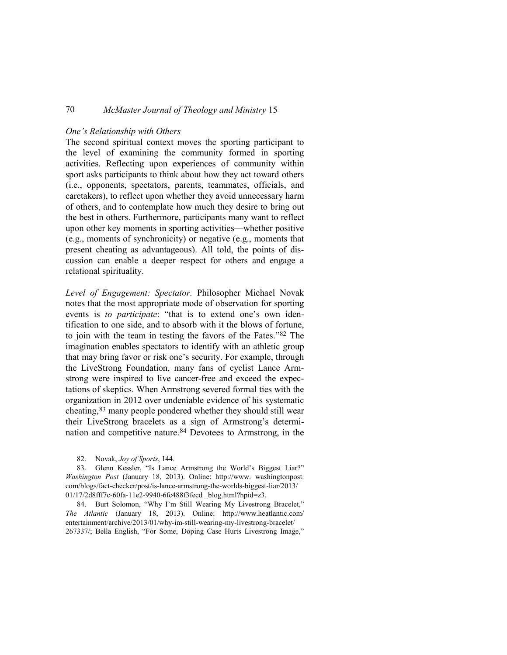## *One's Relationship with Others*

The second spiritual context moves the sporting participant to the level of examining the community formed in sporting activities. Reflecting upon experiences of community within sport asks participants to think about how they act toward others (i.e., opponents, spectators, parents, teammates, officials, and caretakers), to reflect upon whether they avoid unnecessary harm of others, and to contemplate how much they desire to bring out the best in others. Furthermore, participants many want to reflect upon other key moments in sporting activities—whether positive (e.g., moments of synchronicity) or negative (e.g., moments that present cheating as advantageous). All told, the points of discussion can enable a deeper respect for others and engage a relational spirituality.

*Level of Engagement: Spectator.* Philosopher Michael Novak notes that the most appropriate mode of observation for sporting events is *to participate*: "that is to extend one's own identification to one side, and to absorb with it the blows of fortune, to join with the team in testing the favors of the Fates."[82](#page-19-0) The imagination enables spectators to identify with an athletic group that may bring favor or risk one's security. For example, through the LiveStrong Foundation, many fans of cyclist Lance Armstrong were inspired to live cancer-free and exceed the expectations of skeptics. When Armstrong severed formal ties with the organization in 2012 over undeniable evidence of his systematic cheating,[83](#page-19-1) many people pondered whether they should still wear their LiveStrong bracelets as a sign of Armstrong's determination and competitive nature.[84](#page-19-2) Devotees to Armstrong, in the

<span id="page-19-1"></span><span id="page-19-0"></span>83. Glenn Kessler, "Is Lance Armstrong the World's Biggest Liar?" *Washington Post* (January 18, 2013). Online: http://www. washingtonpost. com/blogs/fact-checker/post/is-lance-armstrong-the-worlds-biggest-liar/2013/ 01/17/2d8fff7c-60fa-11e2-9940-6fc488f3fecd blog.html?hpid=z3.

<span id="page-19-2"></span>84. Burt Solomon, "Why I'm Still Wearing My Livestrong Bracelet," *The Atlantic* (January 18, 2013). Online: http://www.heatlantic.com/ entertainment/archive/2013/01/why-im-still-wearing-my-livestrong-bracelet/ 267337/; Bella English, "For Some, Doping Case Hurts Livestrong Image,"

<sup>82.</sup> Novak, *Joy of Sports*, 144.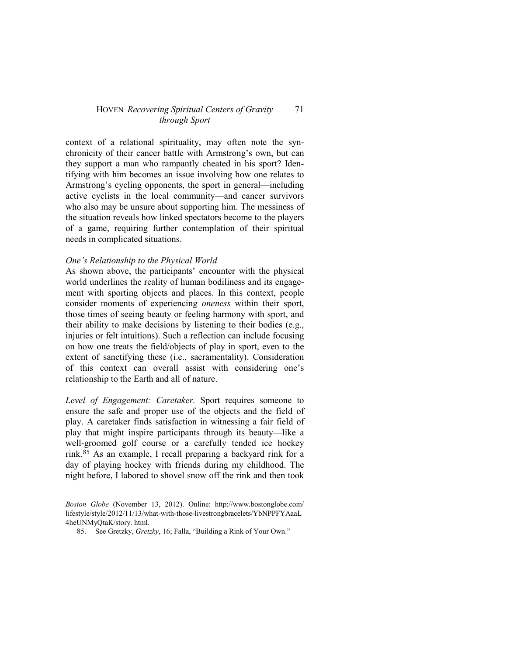context of a relational spirituality, may often note the synchronicity of their cancer battle with Armstrong's own, but can they support a man who rampantly cheated in his sport? Identifying with him becomes an issue involving how one relates to Armstrong's cycling opponents, the sport in general—including active cyclists in the local community—and cancer survivors who also may be unsure about supporting him. The messiness of the situation reveals how linked spectators become to the players of a game, requiring further contemplation of their spiritual needs in complicated situations.

## *One's Relationship to the Physical World*

As shown above, the participants' encounter with the physical world underlines the reality of human bodiliness and its engagement with sporting objects and places. In this context, people consider moments of experiencing *oneness* within their sport, those times of seeing beauty or feeling harmony with sport, and their ability to make decisions by listening to their bodies (e.g., injuries or felt intuitions). Such a reflection can include focusing on how one treats the field/objects of play in sport, even to the extent of sanctifying these (i.e., sacramentality). Consideration of this context can overall assist with considering one's relationship to the Earth and all of nature.

*Level of Engagement: Caretaker.* Sport requires someone to ensure the safe and proper use of the objects and the field of play. A caretaker finds satisfaction in witnessing a fair field of play that might inspire participants through its beauty—like a well-groomed golf course or a carefully tended ice hockey rink.[85](#page-20-0) As an example, I recall preparing a backyard rink for a day of playing hockey with friends during my childhood. The night before, I labored to shovel snow off the rink and then took

<span id="page-20-0"></span>*Boston Globe* (November 13, 2012). Online: http://www.bostonglobe.com/ lifestyle/style/2012/11/13/what-with-those-livestrongbracelets/YbNPPFYAaaL 4heUNMyQtaK/story. html.

<sup>85.</sup> See Gretzky, *Gretzky*, 16; Falla, "Building a Rink of Your Own."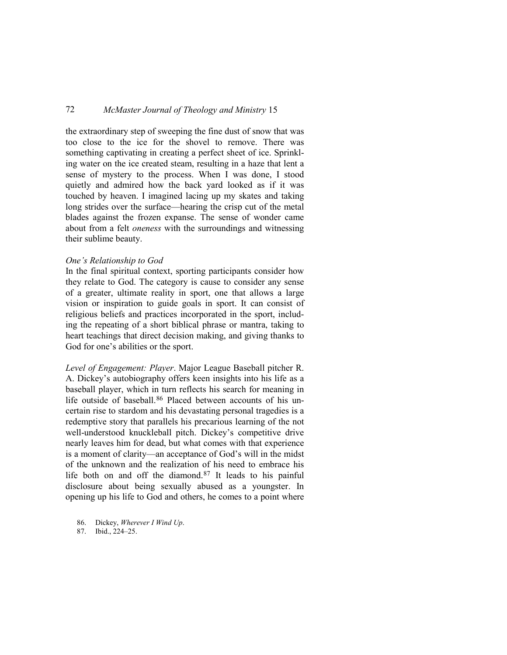the extraordinary step of sweeping the fine dust of snow that was too close to the ice for the shovel to remove. There was something captivating in creating a perfect sheet of ice. Sprinkling water on the ice created steam, resulting in a haze that lent a sense of mystery to the process. When I was done, I stood quietly and admired how the back yard looked as if it was touched by heaven. I imagined lacing up my skates and taking long strides over the surface—hearing the crisp cut of the metal blades against the frozen expanse. The sense of wonder came about from a felt *oneness* with the surroundings and witnessing their sublime beauty.

## *One's Relationship to God*

In the final spiritual context, sporting participants consider how they relate to God. The category is cause to consider any sense of a greater, ultimate reality in sport, one that allows a large vision or inspiration to guide goals in sport. It can consist of religious beliefs and practices incorporated in the sport, including the repeating of a short biblical phrase or mantra, taking to heart teachings that direct decision making, and giving thanks to God for one's abilities or the sport.

*Level of Engagement: Player*. Major League Baseball pitcher R. A. Dickey's autobiography offers keen insights into his life as a baseball player, which in turn reflects his search for meaning in life outside of baseball.<sup>[86](#page-21-0)</sup> Placed between accounts of his uncertain rise to stardom and his devastating personal tragedies is a redemptive story that parallels his precarious learning of the not well-understood knuckleball pitch. Dickey's competitive drive nearly leaves him for dead, but what comes with that experience is a moment of clarity—an acceptance of God's will in the midst of the unknown and the realization of his need to embrace his life both on and off the diamond.[87](#page-21-1) It leads to his painful disclosure about being sexually abused as a youngster. In opening up his life to God and others, he comes to a point where

<span id="page-21-1"></span>87. Ibid., 224–25.

<span id="page-21-0"></span><sup>86.</sup> Dickey, *Wherever I Wind Up*.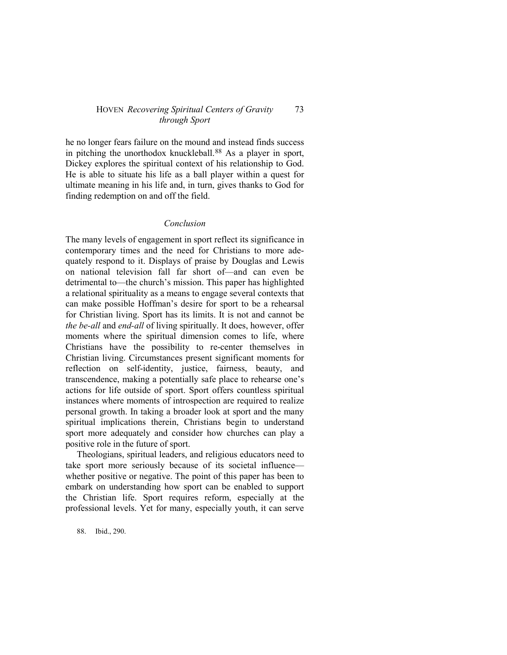he no longer fears failure on the mound and instead finds success in pitching the unorthodox knuckleball.[88](#page-22-0) As a player in sport, Dickey explores the spiritual context of his relationship to God. He is able to situate his life as a ball player within a quest for ultimate meaning in his life and, in turn, gives thanks to God for finding redemption on and off the field.

## *Conclusion*

The many levels of engagement in sport reflect its significance in contemporary times and the need for Christians to more adequately respond to it. Displays of praise by Douglas and Lewis on national television fall far short of—and can even be detrimental to—the church's mission. This paper has highlighted a relational spirituality as a means to engage several contexts that can make possible Hoffman's desire for sport to be a rehearsal for Christian living. Sport has its limits. It is not and cannot be *the be-all* and *end-all* of living spiritually. It does, however, offer moments where the spiritual dimension comes to life, where Christians have the possibility to re-center themselves in Christian living. Circumstances present significant moments for reflection on self-identity, justice, fairness, beauty, and transcendence, making a potentially safe place to rehearse one's actions for life outside of sport. Sport offers countless spiritual instances where moments of introspection are required to realize personal growth. In taking a broader look at sport and the many spiritual implications therein, Christians begin to understand sport more adequately and consider how churches can play a positive role in the future of sport.

Theologians, spiritual leaders, and religious educators need to take sport more seriously because of its societal influence whether positive or negative. The point of this paper has been to embark on understanding how sport can be enabled to support the Christian life. Sport requires reform, especially at the professional levels. Yet for many, especially youth, it can serve

<span id="page-22-0"></span>88. Ibid., 290.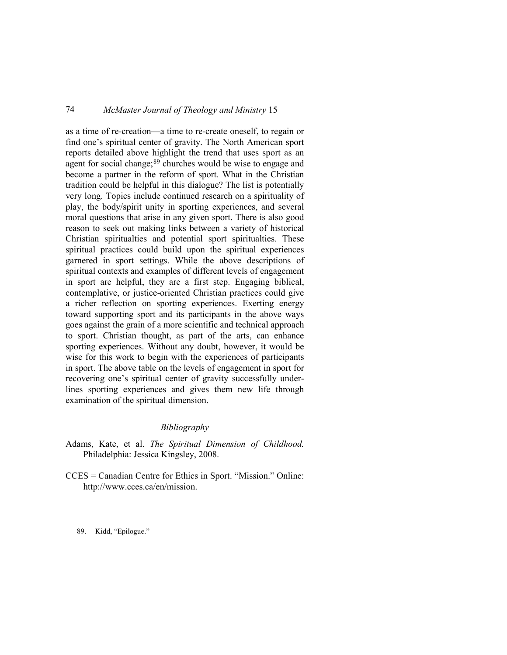as a time of re-creation—a time to re-create oneself, to regain or find one's spiritual center of gravity. The North American sport reports detailed above highlight the trend that uses sport as an agent for social change;<sup>[89](#page-23-0)</sup> churches would be wise to engage and become a partner in the reform of sport. What in the Christian tradition could be helpful in this dialogue? The list is potentially very long. Topics include continued research on a spirituality of play, the body/spirit unity in sporting experiences, and several moral questions that arise in any given sport. There is also good reason to seek out making links between a variety of historical Christian spiritualties and potential sport spiritualties. These spiritual practices could build upon the spiritual experiences garnered in sport settings. While the above descriptions of spiritual contexts and examples of different levels of engagement in sport are helpful, they are a first step. Engaging biblical, contemplative, or justice-oriented Christian practices could give a richer reflection on sporting experiences. Exerting energy toward supporting sport and its participants in the above ways goes against the grain of a more scientific and technical approach to sport. Christian thought, as part of the arts, can enhance sporting experiences. Without any doubt, however, it would be wise for this work to begin with the experiences of participants in sport. The above table on the levels of engagement in sport for recovering one's spiritual center of gravity successfully underlines sporting experiences and gives them new life through examination of the spiritual dimension.

## *Bibliography*

- Adams, Kate, et al. *The Spiritual Dimension of Childhood.* Philadelphia: Jessica Kingsley, 2008.
- CCES = Canadian Centre for Ethics in Sport. "Mission." Online: http://www.cces.ca/en/mission.

<span id="page-23-0"></span>89. Kidd, "Epilogue."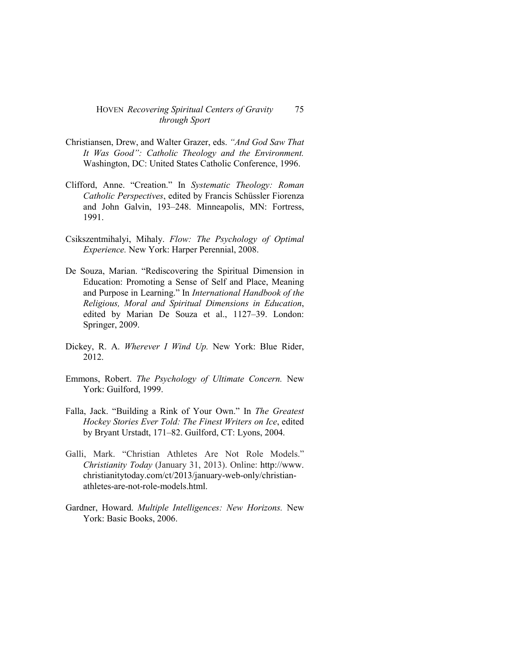- Christiansen, Drew, and Walter Grazer, eds. *"And God Saw That It Was Good": Catholic Theology and the Environment.* Washington, DC: United States Catholic Conference, 1996.
- Clifford, Anne. "Creation." In *Systematic Theology: Roman Catholic Perspectives*, edited by Francis Schüssler Fiorenza and John Galvin, 193–248. Minneapolis, MN: Fortress, 1991.
- Csikszentmihalyi, Mihaly. *Flow: The Psychology of Optimal Experience.* New York: Harper Perennial, 2008.
- De Souza, Marian. "Rediscovering the Spiritual Dimension in Education: Promoting a Sense of Self and Place, Meaning and Purpose in Learning." In *International Handbook of the Religious, Moral and Spiritual Dimensions in Education*, edited by Marian De Souza et al., 1127–39. London: Springer, 2009.
- Dickey, R. A. *Wherever I Wind Up.* New York: Blue Rider, 2012.
- Emmons, Robert. *The Psychology of Ultimate Concern.* New York: Guilford, 1999.
- Falla, Jack. "Building a Rink of Your Own." In *The Greatest Hockey Stories Ever Told: The Finest Writers on Ice*, edited by Bryant Urstadt, 171–82. Guilford, CT: Lyons, 2004.
- Galli, Mark. "Christian Athletes Are Not Role Models." *Christianity Today* (January 31, 2013). Online: http://www. christianitytoday.com/ct/2013/january-web-only/christianathletes-are-not-role-models.html.
- Gardner, Howard. *Multiple Intelligences: New Horizons.* New York: Basic Books, 2006.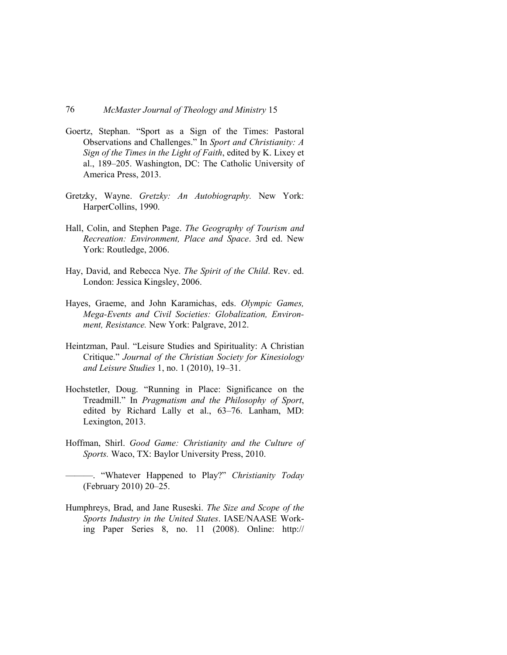- Goertz, Stephan. "Sport as a Sign of the Times: Pastoral Observations and Challenges." In *Sport and Christianity: A Sign of the Times in the Light of Faith*, edited by K. Lixey et al., 189–205. Washington, DC: The Catholic University of America Press, 2013.
- Gretzky, Wayne. *Gretzky: An Autobiography.* New York: HarperCollins, 1990.
- Hall, Colin, and Stephen Page. *The Geography of Tourism and Recreation: Environment, Place and Space*. 3rd ed. New York: Routledge, 2006.
- Hay, David, and Rebecca Nye. *The Spirit of the Child*. Rev. ed. London: Jessica Kingsley, 2006.
- Hayes, Graeme, and John Karamichas, eds. *Olympic Games, Mega-Events and Civil Societies: Globalization, Environment, Resistance.* New York: Palgrave, 2012.
- Heintzman, Paul. "Leisure Studies and Spirituality: A Christian Critique." *Journal of the Christian Society for Kinesiology and Leisure Studies* 1, no. 1 (2010), 19–31.
- Hochstetler, Doug. "Running in Place: Significance on the Treadmill." In *Pragmatism and the Philosophy of Sport*, edited by Richard Lally et al., 63–76. Lanham, MD: Lexington, 2013.
- Hoffman, Shirl. *Good Game: Christianity and the Culture of Sports.* Waco, TX: Baylor University Press, 2010.
	- ———. "Whatever Happened to Play?" *Christianity Today* (February 2010) 20–25.
- Humphreys, Brad, and Jane Ruseski. *The Size and Scope of the Sports Industry in the United States*. IASE/NAASE Working Paper Series 8, no. 11 (2008). Online: http://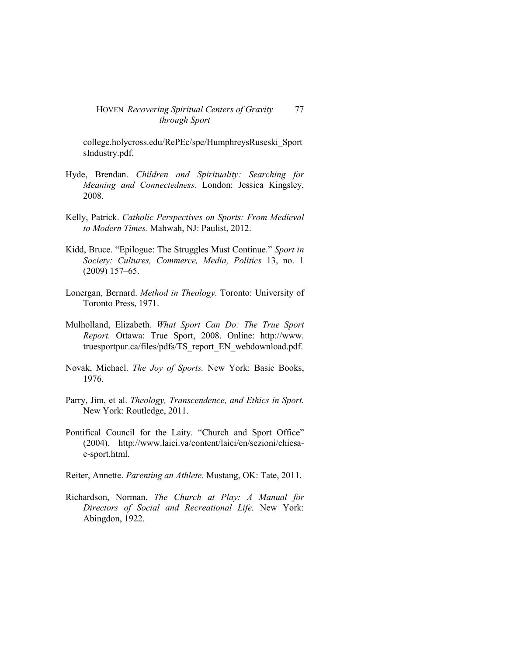college.holycross.edu/RePEc/spe/HumphreysRuseski\_Sport sIndustry.pdf.

- Hyde, Brendan. *Children and Spirituality: Searching for Meaning and Connectedness.* London: Jessica Kingsley, 2008.
- Kelly, Patrick. *Catholic Perspectives on Sports: From Medieval to Modern Times.* Mahwah, NJ: Paulist, 2012.
- Kidd, Bruce. "Epilogue: The Struggles Must Continue." *Sport in Society: Cultures, Commerce, Media, Politics* 13, no. 1 (2009) 157–65.
- Lonergan, Bernard. *Method in Theology.* Toronto: University of Toronto Press, 1971.
- Mulholland, Elizabeth. *What Sport Can Do: The True Sport Report.* Ottawa: True Sport, 2008. Online: http://www. truesportpur.ca/files/pdfs/TS\_report\_EN\_webdownload.pdf.
- Novak, Michael. *The Joy of Sports.* New York: Basic Books, 1976.
- Parry, Jim, et al. *Theology, Transcendence, and Ethics in Sport.* New York: Routledge, 2011.
- Pontifical Council for the Laity. "Church and Sport Office" (2004). http://www.laici.va/content/laici/en/sezioni/chiesae-sport.html.
- Reiter, Annette. *Parenting an Athlete.* Mustang, OK: Tate, 2011.
- Richardson, Norman. *The Church at Play: A Manual for Directors of Social and Recreational Life.* New York: Abingdon, 1922.